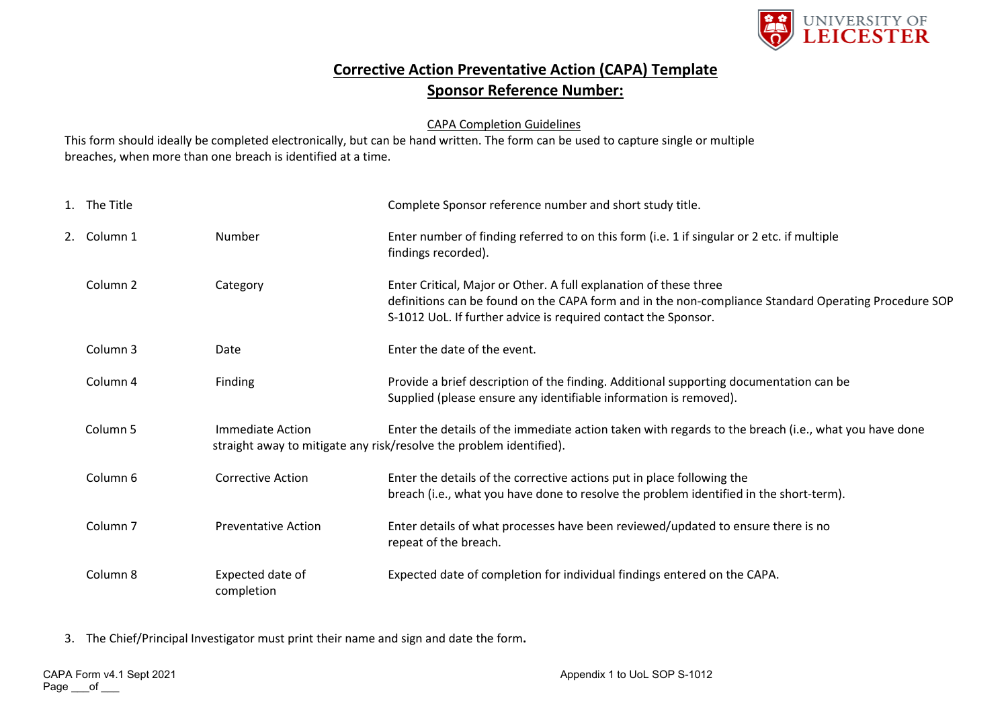

## **Corrective Action Preventative Action (CAPA) Template Sponsor Reference Number:**

## CAPA Completion Guidelines

This form should ideally be completed electronically, but can be hand written. The form can be used to capture single or multiple breaches, when more than one breach is identified at a time.

| 1. The Title        |                                | Complete Sponsor reference number and short study title.                                                                                                                                                                                    |  |  |
|---------------------|--------------------------------|---------------------------------------------------------------------------------------------------------------------------------------------------------------------------------------------------------------------------------------------|--|--|
| 2. Column 1         | Number                         | Enter number of finding referred to on this form (i.e. 1 if singular or 2 etc. if multiple<br>findings recorded).                                                                                                                           |  |  |
| Column <sub>2</sub> | Category                       | Enter Critical, Major or Other. A full explanation of these three<br>definitions can be found on the CAPA form and in the non-compliance Standard Operating Procedure SOP<br>S-1012 UoL. If further advice is required contact the Sponsor. |  |  |
| Column 3            | Date                           | Enter the date of the event.                                                                                                                                                                                                                |  |  |
| Column 4            | Finding                        | Provide a brief description of the finding. Additional supporting documentation can be<br>Supplied (please ensure any identifiable information is removed).                                                                                 |  |  |
| Column <sub>5</sub> | Immediate Action               | Enter the details of the immediate action taken with regards to the breach (i.e., what you have done<br>straight away to mitigate any risk/resolve the problem identified).                                                                 |  |  |
| Column 6            | Corrective Action              | Enter the details of the corrective actions put in place following the<br>breach (i.e., what you have done to resolve the problem identified in the short-term).                                                                            |  |  |
| Column <sub>7</sub> | <b>Preventative Action</b>     | Enter details of what processes have been reviewed/updated to ensure there is no<br>repeat of the breach.                                                                                                                                   |  |  |
| Column 8            | Expected date of<br>completion | Expected date of completion for individual findings entered on the CAPA.                                                                                                                                                                    |  |  |

3. The Chief/Principal Investigator must print their name and sign and date the form**.**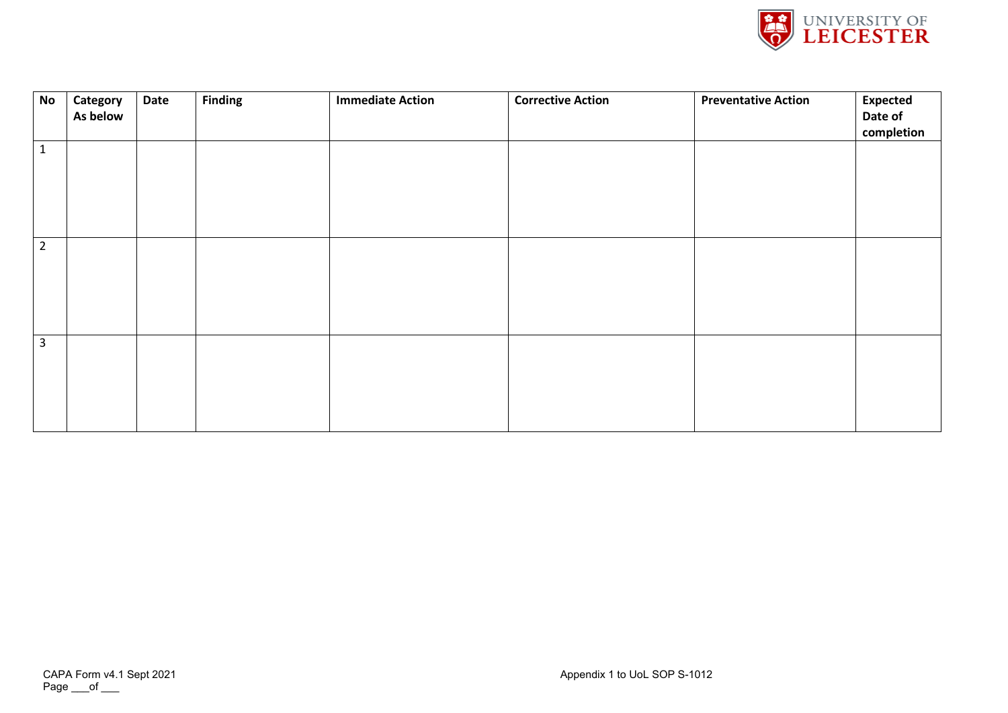

| No             | Category<br>As below | <b>Date</b> | <b>Finding</b> | <b>Immediate Action</b> | <b>Corrective Action</b> | <b>Preventative Action</b> | <b>Expected</b><br>Date of<br>completion |
|----------------|----------------------|-------------|----------------|-------------------------|--------------------------|----------------------------|------------------------------------------|
| $\mathbf 1$    |                      |             |                |                         |                          |                            |                                          |
| $\overline{2}$ |                      |             |                |                         |                          |                            |                                          |
| $\mathbf{3}$   |                      |             |                |                         |                          |                            |                                          |